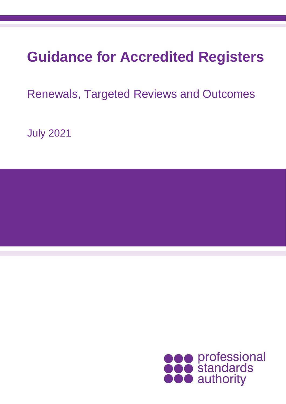# **Guidance for Accredited Registers**

Renewals, Targeted Reviews and Outcomes

July 2021

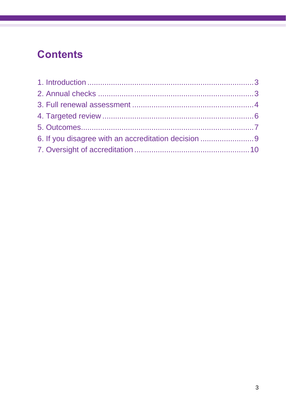# **Contents**

| 6. If you disagree with an accreditation decision 9 |  |
|-----------------------------------------------------|--|
|                                                     |  |
|                                                     |  |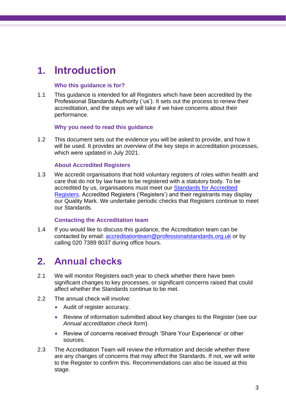## **1. Introduction**

#### **Who this guidance is for?**

1.1 This guidance is intended for all Registers which have been accredited by the Professional Standards Authority ('us'). It sets out the process to renew their accreditation, and the steps we will take if we have concerns about their performance.

#### **Why you need to read this guidance**

1.2 This document sets out the evidence you will be asked to provide, and how it will be used. It provides an overview of the key steps in accreditation processes, which were updated in July 2021.

#### **About Accredited Registers**

1.3 We accredit organisations that hold voluntary registers of roles within health and care that do not by law have to be registered with a statutory body. To be accredited by us, organisations must meet our [Standards for Accredited](https://www.professionalstandards.org.uk/what-we-do/accredited-registers/about-accredited-registers/our-standards)  [Registers.](https://www.professionalstandards.org.uk/what-we-do/accredited-registers/about-accredited-registers/our-standards) Accredited Registers ('Registers') and their registrants may display our Quality Mark. We undertake periodic checks that Registers continue to meet our Standards.

#### **Contacting the Accreditation team**

1.4 If you would like to discuss this guidance, the Accreditation team can be contacted by email: [accreditationteam@professionalstandards.org.uk](mailto:accreditationteam@professionalstandards.org.uk) or by calling 020 7389 8037 during office hours.

### **2. Annual checks**

- 2.1 We will monitor Registers each year to check whether there have been significant changes to key processes, or significant concerns raised that could affect whether the Standards continue to be met.
- 2.2 The annual check will involve:
	- Audit of register accuracy.
	- Review of information submitted about key changes to the Register (see our *Annual accreditation check form*).
	- Review of concerns received through 'Share Your Experience' or other sources.
- 2.3 The Accreditation Team will review the information and decide whether there are any changes of concerns that may affect the Standards. If not, we will write to the Register to confirm this. Recommendations can also be issued at this stage.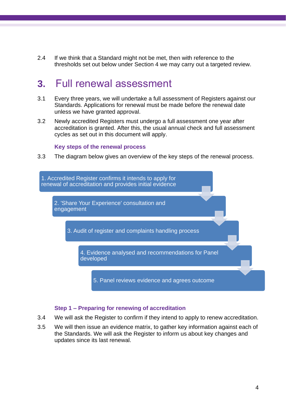2.4 If we think that a Standard might not be met, then with reference to the thresholds set out below under Section 4 we may carry out a targeted review.

### **3.** Full renewal assessment

- 3.1 Every three years, we will undertake a full assessment of Registers against our Standards. Applications for renewal must be made before the renewal date unless we have granted approval.
- 3.2 Newly accredited Registers must undergo a full assessment one year after accreditation is granted. After this, the usual annual check and full assessment cycles as set out in this document will apply.

#### **Key steps of the renewal process**

3.3 The diagram below gives an overview of the key steps of the renewal process.



#### **Step 1 – Preparing for renewing of accreditation**

- 3.4 We will ask the Register to confirm if they intend to apply to renew accreditation.
- 3.5 We will then issue an evidence matrix, to gather key information against each of the Standards. We will ask the Register to inform us about key changes and updates since its last renewal.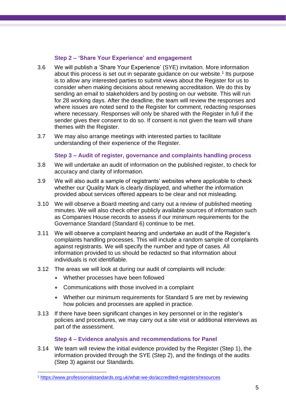#### **Step 2 – 'Share Your Experience' and engagement**

- 3.6 We will publish a 'Share Your Experience' (SYE) invitation. More information about this process is set out in separate guidance on our website.<sup>1</sup> Its purpose is to allow any interested parties to submit views about the Register for us to consider when making decisions about renewing accreditation. We do this by sending an email to stakeholders and by posting on our website. This will run for 28 working days. After the deadline, the team will review the responses and where issues are noted send to the Register for comment, redacting responses where necessary. Responses will only be shared with the Register in full if the sender gives their consent to do so. If consent is not given the team will share themes with the Register.
- 3.7 We may also arrange meetings with interested parties to facilitate understanding of their experience of the Register.

#### **Step 3 – Audit of register, governance and complaints handling process**

- 3.8 We will undertake an audit of information on the published register, to check for accuracy and clarity of information.
- 3.9 We will also audit a sample of registrants' websites where applicable to check whether our Quality Mark is clearly displayed, and whether the information provided about services offered appears to be clear and not misleading.
- 3.10 We will observe a Board meeting and carry out a review of published meeting minutes. We will also check other publicly available sources of information such as Companies House records to assess if our minimum requirements for the Governance Standard (Standard 6) continue to be met.
- 3.11 We will observe a complaint hearing and undertake an audit of the Register's complaints handling processes. This will include a random sample of complaints against registrants. We will specify the number and type of cases. All information provided to us should be redacted so that information about individuals is not identifiable.
- 3.12 The areas we will look at during our audit of complaints will include:
	- Whether processes have been followed
	- Communications with those involved in a complaint
	- Whether our minimum requirements for Standard 5 are met by reviewing how policies and processes are applied in practice.
- 3.13 If there have been significant changes in key personnel or in the register's policies and procedures, we may carry out a site visit or additional interviews as part of the assessment.

#### **Step 4 – Evidence analysis and recommendations for Panel**

3.14 We team will review the initial evidence provided by the Register (Step 1), the information provided through the SYE (Step 2), and the findings of the audits (Step 3) against our Standards.

<sup>1</sup> <https://www.professionalstandards.org.uk/what-we-do/accredited-registers/resources>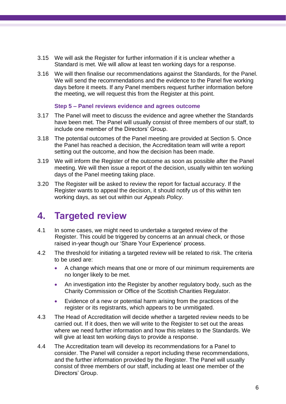- 3.15 We will ask the Register for further information if it is unclear whether a Standard is met. We will allow at least ten working days for a response.
- 3.16 We will then finalise our recommendations against the Standards, for the Panel. We will send the recommendations and the evidence to the Panel five working days before it meets. If any Panel members request further information before the meeting, we will request this from the Register at this point.

#### **Step 5 – Panel reviews evidence and agrees outcome**

- 3.17 The Panel will meet to discuss the evidence and agree whether the Standards have been met. The Panel will usually consist of three members of our staff, to include one member of the Directors' Group.
- 3.18 The potential outcomes of the Panel meeting are provided at Section 5. Once the Panel has reached a decision, the Accreditation team will write a report setting out the outcome, and how the decision has been made.
- 3.19 We will inform the Register of the outcome as soon as possible after the Panel meeting. We will then issue a report of the decision, usually within ten working days of the Panel meeting taking place.
- 3.20 The Register will be asked to review the report for factual accuracy. If the Register wants to appeal the decision, it should notify us of this within ten working days, as set out within our *Appeals Policy*.

### **4. Targeted review**

- 4.1 In some cases, we might need to undertake a targeted review of the Register. This could be triggered by concerns at an annual check, or those raised in-year though our 'Share Your Experience' process.
- 4.2 The threshold for initiating a targeted review will be related to risk. The criteria to be used are:
	- A change which means that one or more of our minimum requirements are no longer likely to be met.
	- An investigation into the Register by another regulatory body, such as the Charity Commission or Office of the Scottish Charities Regulator.
	- Evidence of a new or potential harm arising from the practices of the register or its registrants, which appears to be unmitigated.
- 4.3 The Head of Accreditation will decide whether a targeted review needs to be carried out. If it does, then we will write to the Register to set out the areas where we need further information and how this relates to the Standards. We will give at least ten working days to provide a response.
- 4.4 The Accreditation team will develop its recommendations for a Panel to consider. The Panel will consider a report including these recommendations, and the further information provided by the Register. The Panel will usually consist of three members of our staff, including at least one member of the Directors' Group.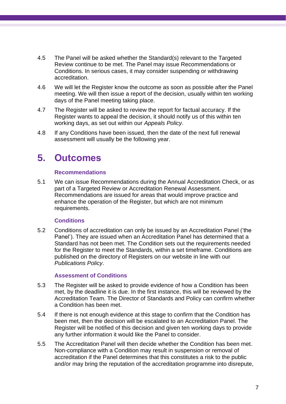- 4.5 The Panel will be asked whether the Standard(s) relevant to the Targeted Review continue to be met. The Panel may issue Recommendations or Conditions. In serious cases, it may consider suspending or withdrawing accreditation.
- 4.6 We will let the Register know the outcome as soon as possible after the Panel meeting. We will then issue a report of the decision, usually within ten working days of the Panel meeting taking place.
- 4.7 The Register will be asked to review the report for factual accuracy. If the Register wants to appeal the decision, it should notify us of this within ten working days, as set out within our *Appeals Policy*.
- 4.8 If any Conditions have been issued, then the date of the next full renewal assessment will usually be the following year.

### **5. Outcomes**

#### **Recommendations**

5.1 We can issue Recommendations during the Annual Accreditation Check, or as part of a Targeted Review or Accreditation Renewal Assessment. Recommendations are issued for areas that would improve practice and enhance the operation of the Register, but which are not minimum requirements.

#### **Conditions**

5.2 Conditions of accreditation can only be issued by an Accreditation Panel ('the Panel'). They are issued when an Accreditation Panel has determined that a Standard has not been met. The Condition sets out the requirements needed for the Register to meet the Standards, within a set timeframe. Conditions are published on the directory of Registers on our website in line with our *Publications Policy*.

#### **Assessment of Conditions**

- 5.3 The Register will be asked to provide evidence of how a Condition has been met, by the deadline it is due. In the first instance, this will be reviewed by the Accreditation Team. The Director of Standards and Policy can confirm whether a Condition has been met.
- 5.4 If there is not enough evidence at this stage to confirm that the Condition has been met, then the decision will be escalated to an Accreditation Panel. The Register will be notified of this decision and given ten working days to provide any further information it would like the Panel to consider.
- <span id="page-6-0"></span>5.5 The Accreditation Panel will then decide whether the Condition has been met. Non-compliance with a Condition may result in suspension or removal of accreditation if the Panel determines that this constitutes a risk to the public and/or may bring the reputation of the accreditation programme into disrepute,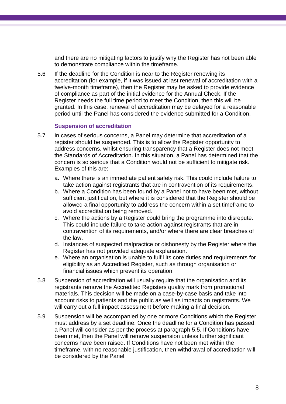and there are no mitigating factors to justify why the Register has not been able to demonstrate compliance within the timeframe.

5.6 If the deadline for the Condition is near to the Register renewing its accreditation (for example, if it was issued at last renewal of accreditation with a twelve-month timeframe), then the Register may be asked to provide evidence of compliance as part of the initial evidence for the Annual Check. If the Register needs the full time period to meet the Condition, then this will be granted. In this case, renewal of accreditation may be delayed for a reasonable period until the Panel has considered the evidence submitted for a Condition.

#### **Suspension of accreditation**

- 5.7 In cases of serious concerns, a Panel may determine that accreditation of a register should be suspended. This is to allow the Register opportunity to address concerns, whilst ensuring transparency that a Register does not meet the Standards of Accreditation. In this situation, a Panel has determined that the concern is so serious that a Condition would not be sufficient to mitigate risk. Examples of this are:
	- a. Where there is an immediate patient safety risk. This could include failure to take action against registrants that are in contravention of its requirements.
	- b. Where a Condition has been found by a Panel not to have been met, without sufficient justification, but where it is considered that the Register should be allowed a final opportunity to address the concern within a set timeframe to avoid accreditation being removed.
	- c. Where the actions by a Register could bring the programme into disrepute. This could include failure to take action against registrants that are in contravention of its requirements, and/or where there are clear breaches of the law.
	- d. Instances of suspected malpractice or dishonesty by the Register where the Register has not provided adequate explanation.
	- e. Where an organisation is unable to fulfil its core duties and requirements for eligibility as an Accredited Register, such as through organisation or financial issues which prevent its operation.
- 5.8 Suspension of accreditation will usually require that the organisation and its registrants remove the Accredited Registers quality mark from promotional materials. This decision will be made on a case-by-case basis and take into account risks to patients and the public as well as impacts on registrants. We will carry out a full impact assessment before making a final decision.
- 5.9 Suspension will be accompanied by one or more Conditions which the Register must address by a set deadline. Once the deadline for a Condition has passed, a Panel will consider as per the process at paragraph [5.5.](#page-6-0) If Conditions have been met, then the Panel will remove suspension unless further significant concerns have been raised. If Conditions have not been met within the timeframe, with no reasonable justification, then withdrawal of accreditation will be considered by the Panel.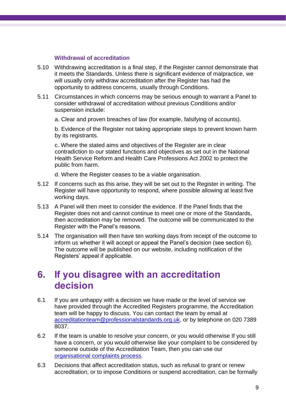#### **Withdrawal of accreditation**

- 5.10 Withdrawing accreditation is a final step, if the Register cannot demonstrate that it meets the Standards. Unless there is significant evidence of malpractice, we will usually only withdraw accreditation after the Register has had the opportunity to address concerns, usually through Conditions.
- 5.11 Circumstances in which concerns may be serious enough to warrant a Panel to consider withdrawal of accreditation without previous Conditions and/or suspension include:
	- a. Clear and proven breaches of law (for example, falsifying of accounts).

b. Evidence of the Register not taking appropriate steps to prevent known harm by its registrants.

c. Where the stated aims and objectives of the Register are in clear contradiction to our stated functions and objectives as set out in the National Health Service Reform and Health Care Professions Act 2002 to protect the public from harm.

d. Where the Register ceases to be a viable organisation.

- 5.12 If concerns such as this arise, they will be set out to the Register in writing. The Register will have opportunity to respond, where possible allowing at least five working days.
- 5.13 A Panel will then meet to consider the evidence. If the Panel finds that the Register does not and cannot continue to meet one or more of the Standards, then accreditation may be removed. The outcome will be communicated to the Register with the Panel's reasons.
- 5.14 The organisation will then have ten working days from receipt of the outcome to inform us whether it will accept or appeal the Panel's decision (see section 6). The outcome will be published on our website, including notification of the Registers' appeal if applicable.

### **6. If you disagree with an accreditation decision**

- 6.1 If you are unhappy with a decision we have made or the level of service we have provided through the Accredited Registers programme, the Accreditation team will be happy to discuss. You can contact the team by email at [accreditationteam@professionalstandards.org.uk,](mailto:accreditationteam@professionalstandards.org.uk) or by telephone on 020 7389 8037.
- 6.2 If the team is unable to resolve your concern, or you would otherwise If you still have a concern, or you would otherwise like your complaint to be considered by someone outside of the Accreditation Team, then you can use our [organisational complaints process.](https://www.professionalstandards.org.uk/about-us/make-a-complaint-about-us)
- 6.3 Decisions that affect accreditation status, such as refusal to grant or renew accreditation, or to impose Conditions or suspend accreditation, can be formally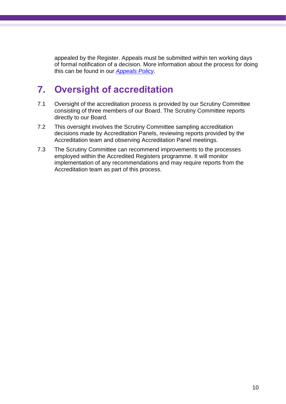appealed by the Register. Appeals must be submitted within ten working days of formal notification of a decision. More information about the process for doing this can be found in our *[Appeals Policy.](https://www.professionalstandards.org.uk/what-we-do/accredited-registers/resources)*

### **7. Oversight of accreditation**

- 7.1 Oversight of the accreditation process is provided by our Scrutiny Committee consisting of three members of our Board. The Scrutiny Committee reports directly to our Board.
- 7.2 This oversight involves the Scrutiny Committee sampling accreditation decisions made by Accreditation Panels, reviewing reports provided by the Accreditation team and observing Accreditation Panel meetings.
- 7.3 The Scrutiny Committee can recommend improvements to the processes employed within the Accredited Registers programme. It will monitor implementation of any recommendations and may require reports from the Accreditation team as part of this process.